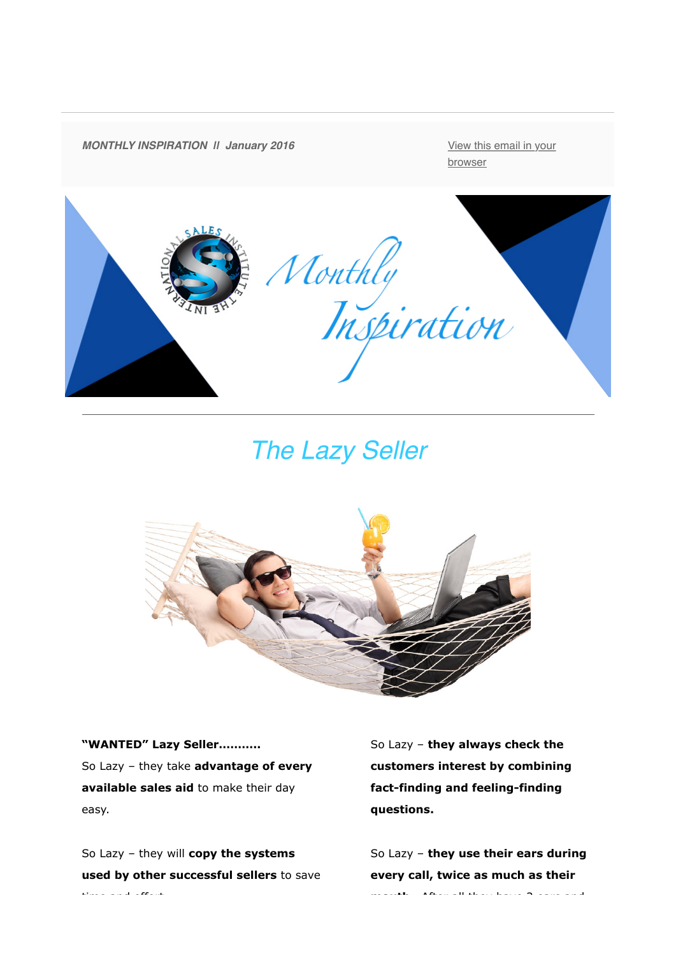

*The Lazy Seller*



**"WANTED" Lazy Seller………..** So Lazy – they take **advantage of every available sales aid** to make their day easy.

So Lazy – they will **copy the systems used by other successful sellers** to save time and effort.

So Lazy – **they always check the customers interest by combining fact-finding and feeling-finding questions.**

So Lazy – **they use their ears during every call, twice as much as their mouth.** After all they have 2 ears and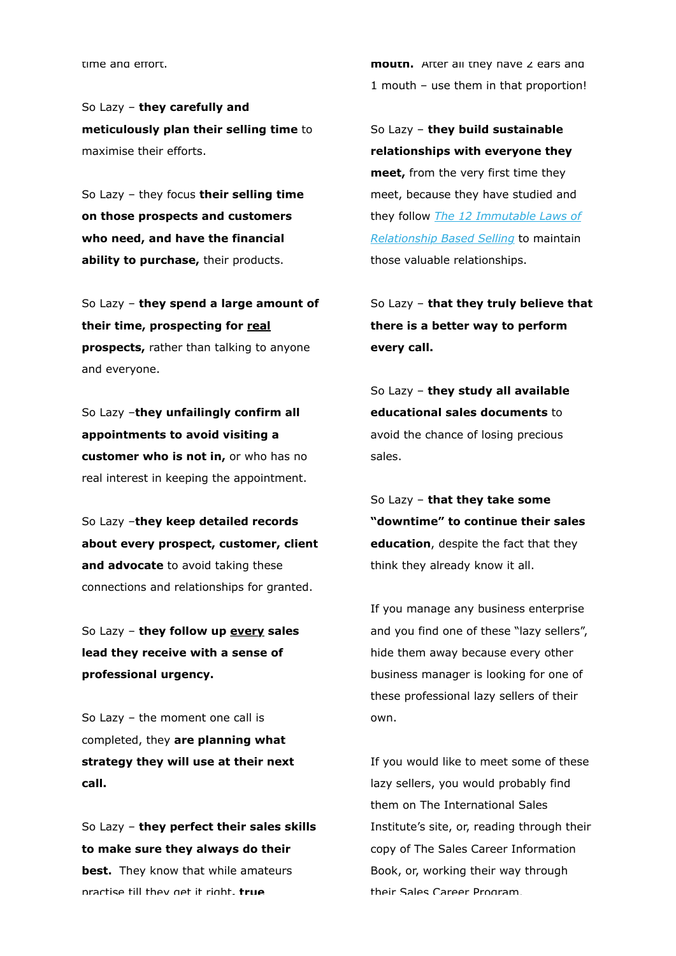time and effort.

So Lazy – **they carefully and meticulously plan their selling time** to maximise their efforts.

So Lazy – they focus **their selling time on those prospects and customers who need, and have the financial ability to purchase,** their products.

So Lazy – **they spend a large amount of their time, prospecting for real prospects,** rather than talking to anyone and everyone.

So Lazy –**they unfailingly confirm all appointments to avoid visiting a customer who is not in,** or who has no real interest in keeping the appointment.

So Lazy –**they keep detailed records about every prospect, customer, client and advocate** to avoid taking these connections and relationships for granted.

So Lazy – **they follow up every sales lead they receive with a sense of professional urgency.**

So Lazy – the moment one call is completed, they **are planning what strategy they will use at their next call.**

So Lazy – **they perfect their sales skills to make sure they always do their best.** They know that while amateurs practise till they get it right, **true** 

**mouth.** After all they have 2 ears and 1 mouth – use them in that proportion!

So Lazy – **they build sustainable relationships with everyone they meet,** from the very first time they meet, because they have studied and they follow *[The 12 Immutable Laws of](http://theinternationalsalesinstitute.us11.list-manage.com/track/click?u=933b80e7a2e18bb216f31e81e&id=61cd6c8051&e=a460a92d41) Relationship Based Selling* to maintain those valuable relationships.

So Lazy – **that they truly believe that there is a better way to perform every call.**

So Lazy – **they study all available educational sales documents** to avoid the chance of losing precious sales.

So Lazy – **that they take some "downtime" to continue their sales education**, despite the fact that they think they already know it all.

If you manage any business enterprise and you find one of these "lazy sellers", hide them away because every other business manager is looking for one of these professional lazy sellers of their own.

If you would like to meet some of these lazy sellers, you would probably find them on The International Sales Institute's site, or, reading through their copy of The Sales Career Information Book, or, working their way through their Sales Career Program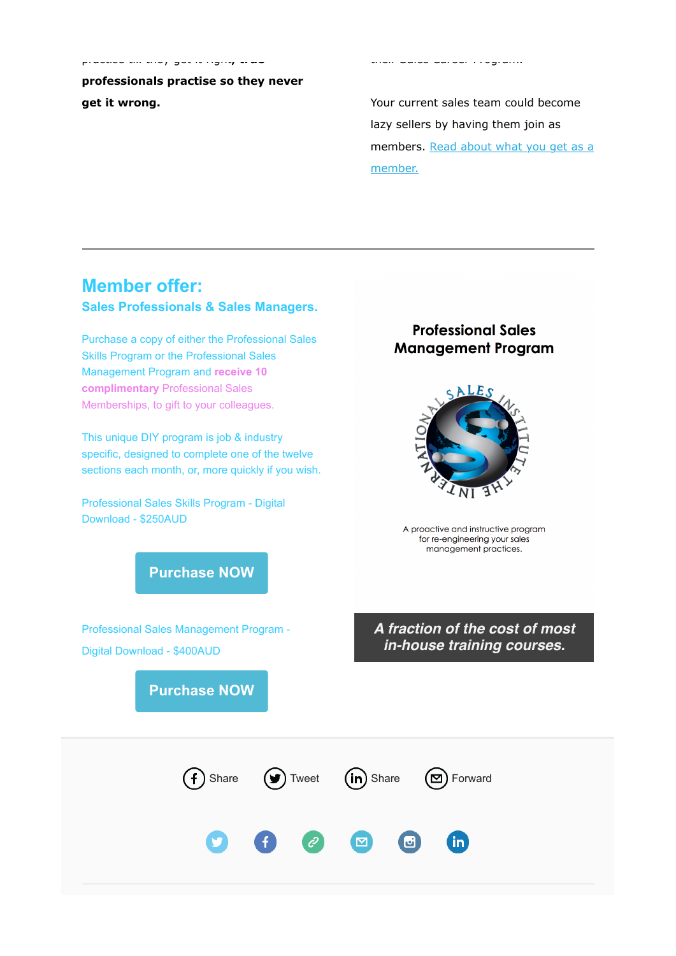**professionals practise so they never get it wrong.**

practise till they get it right**, true**

Your current sales team could become lazy sellers by having them join as [members. Read about what you get as a](http://theinternationalsalesinstitute.us11.list-manage.com/track/click?u=933b80e7a2e18bb216f31e81e&id=d7a9e0bb53&e=a460a92d41) member.

their Sales Career Program.

## **Member offer:**

## **Sales Professionals & Sales Managers.**

Purchase a copy of either the Professional Sales Skills Program or the Professional Sales Management Program and **receive 10 complimentary** Professional Sales Memberships, to gift to your colleagues.

This unique DIY program is job & industry specific, designed to complete one of the twelve sections each month, or, more quickly if you wish.

Professional Sales Skills Program - Digital Download - \$250AUD

## **Professional Sales Management Program**



A proactive and instructive program for re-engineering your sales management practices.